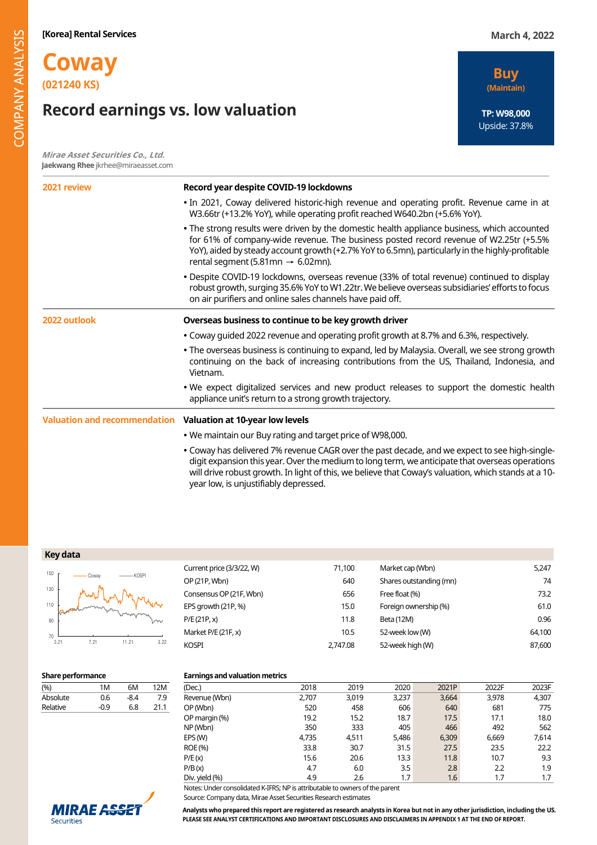# **Coway (021240 KS)**

# **Record earnings vs. low valuation**

**Mirae Asset Securities Co., Ltd. Jaekwang Rhee** jkrhee@miraeasset.com



| 2021 review                                                  | Record year despite COVID-19 lockdowns                                                                                                                                                                                                                                                                                                            |  |  |  |  |  |  |  |  |
|--------------------------------------------------------------|---------------------------------------------------------------------------------------------------------------------------------------------------------------------------------------------------------------------------------------------------------------------------------------------------------------------------------------------------|--|--|--|--|--|--|--|--|
|                                                              | . In 2021, Coway delivered historic-high revenue and operating profit. Revenue came in at<br>W3.66tr (+13.2% YoY), while operating profit reached W640.2bn (+5.6% YoY).                                                                                                                                                                           |  |  |  |  |  |  |  |  |
|                                                              | • The strong results were driven by the domestic health appliance business, which accounted<br>for 61% of company-wide revenue. The business posted record revenue of W2.25tr (+5.5%<br>YoY), aided by steady account growth (+2.7% YoY to 6.5mn), particularly in the highly-profitable<br>rental segment (5.81mn $\rightarrow$ 6.02mn).         |  |  |  |  |  |  |  |  |
|                                                              | • Despite COVID-19 lockdowns, overseas revenue (33% of total revenue) continued to display<br>robust growth, surging 35.6% YoY to W1.22tr. We believe overseas subsidiaries' efforts to focus<br>on air purifiers and online sales channels have paid off.                                                                                        |  |  |  |  |  |  |  |  |
| 2022 outlook                                                 | Overseas business to continue to be key growth driver                                                                                                                                                                                                                                                                                             |  |  |  |  |  |  |  |  |
|                                                              | • Coway quided 2022 revenue and operating profit growth at 8.7% and 6.3%, respectively.                                                                                                                                                                                                                                                           |  |  |  |  |  |  |  |  |
|                                                              | • The overseas business is continuing to expand, led by Malaysia. Overall, we see strong growth<br>continuing on the back of increasing contributions from the US, Thailand, Indonesia, and<br>Vietnam.                                                                                                                                           |  |  |  |  |  |  |  |  |
|                                                              | . We expect digitalized services and new product releases to support the domestic health<br>appliance unit's return to a strong growth trajectory.                                                                                                                                                                                                |  |  |  |  |  |  |  |  |
| Valuation and recommendation Valuation at 10-year low levels |                                                                                                                                                                                                                                                                                                                                                   |  |  |  |  |  |  |  |  |
|                                                              | . We maintain our Buy rating and target price of W98,000.                                                                                                                                                                                                                                                                                         |  |  |  |  |  |  |  |  |
|                                                              | . Coway has delivered 7% revenue CAGR over the past decade, and we expect to see high-single-<br>digit expansion this year. Over the medium to long term, we anticipate that overseas operations<br>will drive robust growth. In light of this, we believe that Coway's valuation, which stands at a 10-<br>year low, is unjustifiably depressed. |  |  |  |  |  |  |  |  |

| Key data |  |
|----------|--|
|----------|--|



| Current price (3/3/22, W) | 71,100   | Market cap (Wbn)        | 5,247  |
|---------------------------|----------|-------------------------|--------|
| OP (21P, Wbn)             | 640      | Shares outstanding (mn) | 74     |
| Consensus OP (21F, Wbn)   | 656      | Free float (%)          | 73.2   |
| EPS growth (21P, %)       | 15.0     | Foreign ownership (%)   | 61.0   |
| P/E(21P, x)               | 11.8     | Beta (12M)              | 0.96   |
| Market P/E (21F, x)       | 10.5     | 52-week low (W)         | 64,100 |
| Kospi                     | 2.747.08 | 52-week high (W)        | 87,600 |

### **Share performance Earnings and valuation metrics**

| (%)      | 1M   | 6М   | 12M  |
|----------|------|------|------|
| Absolute | 0.6  | -8.4 | 7.9  |
| Relative | -0.9 | 6.8  | 21.1 |
|          |      |      |      |

| -----------    |       |       |       |       |       |       |
|----------------|-------|-------|-------|-------|-------|-------|
| (Dec.)         | 2018  | 2019  | 2020  | 2021P | 2022F | 2023F |
| Revenue (Wbn)  | 2,707 | 3,019 | 3,237 | 3,664 | 3,978 | 4,307 |
| OP (Wbn)       | 520   | 458   | 606   | 640   | 681   | 775   |
| OP margin (%)  | 19.2  | 15.2  | 18.7  | 17.5  | 17.1  | 18.0  |
| NP (Wbn)       | 350   | 333   | 405   | 466   | 492   | 562   |
| EPS (W)        | 4,735 | 4.511 | 5,486 | 6,309 | 6,669 | 7,614 |
| ROE (%)        | 33.8  | 30.7  | 31.5  | 27.5  | 23.5  | 22.2  |
| P/E(x)         | 15.6  | 20.6  | 13.3  | 11.8  | 10.7  | 9.3   |
| P/B(x)         | 4.7   | 6.0   | 3.5   | 2.8   | 2.2   | 1.9   |
| Div. yield (%) | 4.9   | 2.6   | 1.7   | 1.6   | 1.7   | 1.7   |

Notes: Under consolidated K-IFRS; NP is attributable to owners of the parent

Source: Company data, Mirae Asset Securities Research estimates



**Analysts who prepared this report are registered as research analysts in Korea but not in any other jurisdiction, including the US. PLEASE SEE ANALYST CERTIFICATIONS AND IMPORTANT DISCLOSURES AND DISCLAIMERS IN APPENDIX 1 AT THE END OF REPORT.**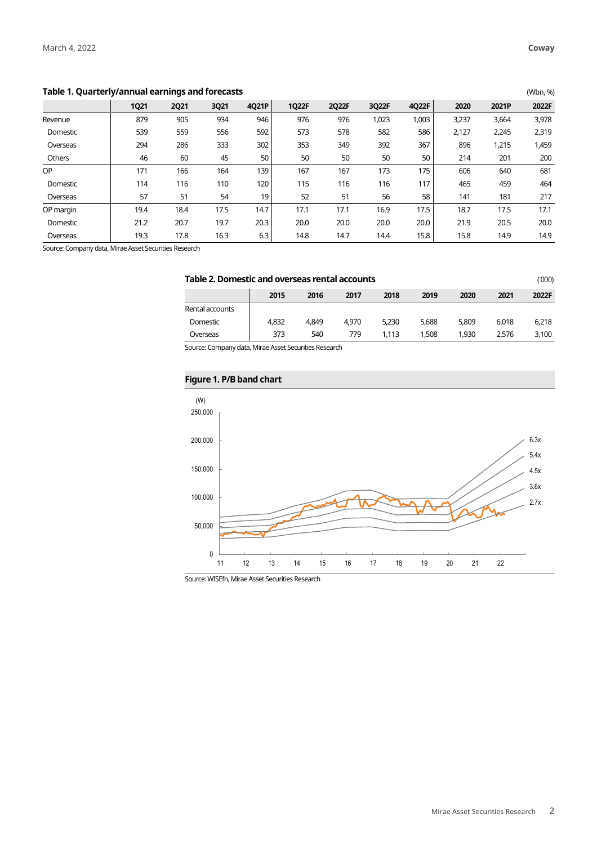## **Table 1. Quarterly/annual earnings and forecasts** (Wbn, %)

|           | <b>1Q21</b> | <b>2Q21</b> | 3Q21 | 4Q21P | 1Q22F | 2Q22F | 3Q22F | 4Q22F | 2020  | 2021P | 2022F |
|-----------|-------------|-------------|------|-------|-------|-------|-------|-------|-------|-------|-------|
| Revenue   | 879         | 905         | 934  | 946   | 976   | 976   | 1,023 | 1,003 | 3,237 | 3,664 | 3,978 |
| Domestic  | 539         | 559         | 556  | 592   | 573   | 578   | 582   | 586   | 2,127 | 2,245 | 2,319 |
| Overseas  | 294         | 286         | 333  | 302   | 353   | 349   | 392   | 367   | 896   | 1,215 | 1,459 |
| Others    | 46          | 60          | 45   | 50    | 50    | 50    | 50    | 50    | 214   | 201   | 200   |
| <b>OP</b> | 171         | 166         | 164  | 139   | 167   | 167   | 173   | 175   | 606   | 640   | 681   |
| Domestic  | 114         | 116         | 110  | 120   | 115   | 116   | 116   | 117   | 465   | 459   | 464   |
| Overseas  | 57          | 51          | 54   | 19    | 52    | 51    | 56    | 58    | 141   | 181   | 217   |
| OP margin | 19.4        | 18.4        | 17.5 | 14.7  | 17.1  | 17.1  | 16.9  | 17.5  | 18.7  | 17.5  | 17.1  |
| Domestic  | 21.2        | 20.7        | 19.7 | 20.3  | 20.0  | 20.0  | 20.0  | 20.0  | 21.9  | 20.5  | 20.0  |
| Overseas  | 19.3        | 17.8        | 16.3 | 6.3   | 14.8  | 14.7  | 14.4  | 15.8  | 15.8  | 14.9  | 14.9  |

Source: Company data, Mirae Asset Securities Research

| Table 2. Domestic and overseas rental accounts<br>(1000) |       |       |       |       |       |       |       |       |  |
|----------------------------------------------------------|-------|-------|-------|-------|-------|-------|-------|-------|--|
|                                                          | 2015  | 2016  | 2017  | 2018  | 2019  | 2020  | 2021  | 2022F |  |
| Rental accounts                                          |       |       |       |       |       |       |       |       |  |
| Domestic                                                 | 4.832 | 4.849 | 4.970 | 5.230 | 5.688 | 5.809 | 6.018 | 6.218 |  |
| Overseas                                                 | 373   | 540   | 779   | 1.113 | 1,508 | 1.930 | 2.576 | 3,100 |  |
|                                                          |       |       |       |       |       |       |       |       |  |

Source: Company data, Mirae Asset Securities Research

# **Figure 1. P/B band chart**

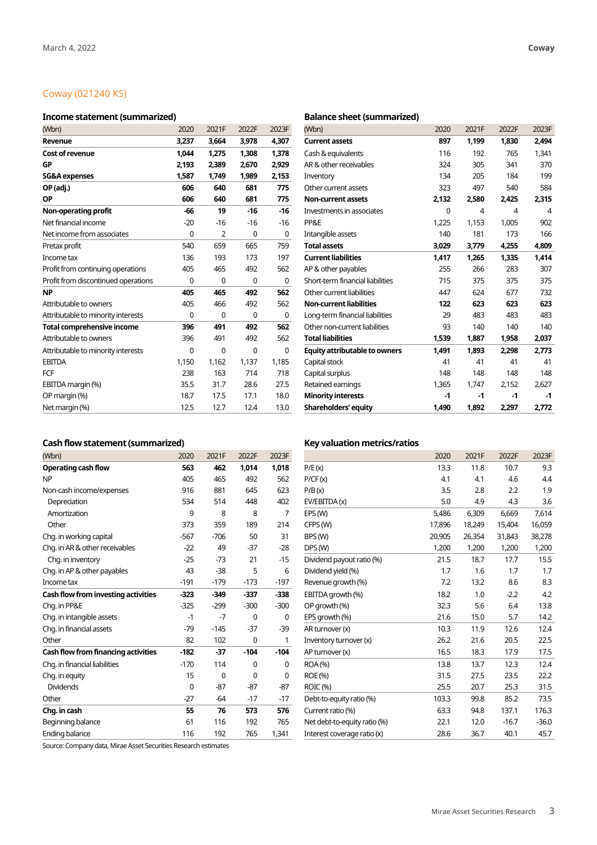# Coway (021240 KS)

# **Income statement (summarized) Balance sheet (summarized)**

| (Wbn)                               | 2020  | 2021F          | 2022F | 2023F | (Wbn)                                | 2020  | 2021F          | 2022F | 2023F |
|-------------------------------------|-------|----------------|-------|-------|--------------------------------------|-------|----------------|-------|-------|
| Revenue                             | 3,237 | 3,664          | 3,978 | 4,307 | <b>Current assets</b>                | 897   | 1,199          | 1,830 | 2,494 |
| <b>Cost of revenue</b>              | 1,044 | 1,275          | 1,308 | 1,378 | Cash & equivalents                   | 116   | 192            | 765   | 1,341 |
| GP                                  | 2,193 | 2,389          | 2,670 | 2,929 | AR & other receivables               | 324   | 305            | 341   | 370   |
| <b>SG&amp;A</b> expenses            | 1,587 | 1.749          | 1,989 | 2,153 | Inventory                            | 134   | 205            | 184   | 199   |
| OP (adj.)                           | 606   | 640            | 681   | 775   | Other current assets                 | 323   | 497            | 540   | 584   |
| <b>OP</b>                           | 606   | 640            | 681   | 775   | <b>Non-current assets</b>            | 2,132 | 2,580          | 2,425 | 2,315 |
| Non-operating profit                | -66   | 19             | $-16$ | $-16$ | Investments in associates            | 0     | $\overline{4}$ | 4     | 4     |
| Net financial income                | $-20$ | $-16$          | $-16$ | $-16$ | PP&E                                 | 1,225 | 1,153          | 1,005 | 902   |
| Net income from associates          | 0     | $\overline{2}$ | 0     | 0     | Intangible assets                    | 140   | 181            | 173   | 166   |
| Pretax profit                       | 540   | 659            | 665   | 759   | <b>Total assets</b>                  | 3,029 | 3,779          | 4,255 | 4,809 |
| Income tax                          | 136   | 193            | 173   | 197   | <b>Current liabilities</b>           | 1,417 | 1,265          | 1,335 | 1,414 |
| Profit from continuing operations   | 405   | 465            | 492   | 562   | AP & other payables                  | 255   | 266            | 283   | 307   |
| Profit from discontinued operations | 0     | 0              | 0     | 0     | Short-term financial liabilities     | 715   | 375            | 375   | 375   |
| <b>NP</b>                           | 405   | 465            | 492   | 562   | Other current liabilities            | 447   | 624            | 677   | 732   |
| Attributable to owners              | 405   | 466            | 492   | 562   | <b>Non-current liabilities</b>       | 122   | 623            | 623   | 623   |
| Attributable to minority interests  | 0     | 0              | 0     | 0     | Long-term financial liabilities      | 29    | 483            | 483   | 483   |
| <b>Total comprehensive income</b>   | 396   | 491            | 492   | 562   | Other non-current liabilities        | 93    | 140            | 140   | 140   |
| Attributable to owners              | 396   | 491            | 492   | 562   | <b>Total liabilities</b>             | 1,539 | 1,887          | 1,958 | 2,037 |
| Attributable to minority interests  | 0     | 0              | 0     | 0     | <b>Equity attributable to owners</b> | 1,491 | 1,893          | 2,298 | 2,773 |
| <b>EBITDA</b>                       | 1,150 | 1,162          | 1,137 | 1,185 | Capital stock                        | 41    | 41             | 41    | 41    |
| <b>FCF</b>                          | 238   | 163            | 714   | 718   | Capital surplus                      | 148   | 148            | 148   | 148   |
| EBITDA margin (%)                   | 35.5  | 31.7           | 28.6  | 27.5  | Retained earnings                    | 1,365 | 1,747          | 2,152 | 2,627 |
| OP margin (%)                       | 18.7  | 17.5           | 17.1  | 18.0  | <b>Minority interests</b>            | $-1$  | $-1$           | $-1$  | -1    |
| Net margin (%)                      | 12.5  | 12.7           | 12.4  | 13.0  | <b>Shareholders' equity</b>          | 1,490 | 1,892          | 2,297 | 2,772 |

| (Wbn)                                | 2020  | 2021F          | 2022F | 2023F |
|--------------------------------------|-------|----------------|-------|-------|
| <b>Current assets</b>                | 897   | 1,199          | 1,830 | 2,494 |
| Cash & equivalents                   | 116   | 192            | 765   | 1.341 |
| AR & other receivables               | 324   | 305            | 341   | 370   |
| Inventory                            | 134   | 205            | 184   | 199   |
| Other current assets                 | 323   | 497            | 540   | 584   |
| <b>Non-current assets</b>            | 2,132 | 2,580          | 2,425 | 2,315 |
| Investments in associates            | 0     | $\overline{4}$ | 4     | 4     |
| PP&E                                 | 1,225 | 1,153          | 1,005 | 902   |
| Intangible assets                    | 140   | 181            | 173   | 166   |
| <b>Total assets</b>                  | 3,029 | 3,779          | 4,255 | 4,809 |
| <b>Current liabilities</b>           | 1.417 | 1.265          | 1.335 | 1.414 |
| AP & other payables                  | 255   | 266            | 283   | 307   |
| Short-term financial liabilities     | 715   | 375            | 375   | 375   |
| Other current liabilities            | 447   | 624            | 677   | 732   |
| <b>Non-current liabilities</b>       | 122   | 623            | 623   | 623   |
| Long-term financial liabilities      | 29    | 483            | 483   | 483   |
| Other non-current liabilities        | 93    | 140            | 140   | 140   |
| <b>Total liabilities</b>             | 1,539 | 1,887          | 1,958 | 2,037 |
| <b>Equity attributable to owners</b> | 1,491 | 1.893          | 2.298 | 2.773 |
| Capital stock                        | 41    | 41             | 41    | 41    |
| Capital surplus                      | 148   | 148            | 148   | 148   |
| Retained earnings                    | 1,365 | 1,747          | 2,152 | 2,627 |
| <b>Minority interests</b>            | $-1$  | $-1$           | $-1$  | $-1$  |
| <b>Shareholders' equity</b>          | 1.490 | 1,892          | 2,297 | 2,772 |

## Cash flow statement (summarized) **Key valuation metrics/ratios Cash** flow statement (summarized)

| (Wbn)                               | 2020   | 2021F  | 2022F  | 2023F  |                              | 2020   | 2021F  | 2022F   | 2023F   |
|-------------------------------------|--------|--------|--------|--------|------------------------------|--------|--------|---------|---------|
| <b>Operating cash flow</b>          | 563    | 462    | 1,014  | 1,018  | P/E(x)                       | 13.3   | 11.8   | 10.7    | 9.3     |
| <b>NP</b>                           | 405    | 465    | 492    | 562    | P/CF(x)                      | 4.1    | 4.1    | 4.6     | 4.4     |
| Non-cash income/expenses            | 916    | 881    | 645    | 623    | P/B(x)                       | 3.5    | 2.8    | 2.2     | 1.9     |
| Depreciation                        | 534    | 514    | 448    | 402    | EV/EBITDA (x)                | 5.0    | 4.9    | 4.3     | 3.6     |
| Amortization                        | 9      | 8      | 8      | 7      | EPS (W)                      | 5,486  | 6,309  | 6,669   | 7,614   |
| Other                               | 373    | 359    | 189    | 214    | CFPS (W)                     | 17,896 | 18,249 | 15,404  | 16,059  |
| Chg. in working capital             | $-567$ | $-706$ | 50     | 31     | BPS (W)                      | 20,905 | 26,354 | 31,843  | 38,278  |
| Chg. in AR & other receivables      | $-22$  | 49     | $-37$  | $-28$  | DPS(W)                       | 1,200  | 1,200  | 1,200   | 1,200   |
| Chg. in inventory                   | $-25$  | $-73$  | 21     | $-15$  | Dividend payout ratio (%)    | 21.5   | 18.7   | 17.7    | 15.5    |
| Chg. in AP & other payables         | 43     | $-38$  | 5      | 6      | Dividend yield (%)           | 1.7    | 1.6    | 1.7     | 1.7     |
| Income tax                          | $-191$ | $-179$ | $-173$ | $-197$ | Revenue growth (%)           | 7.2    | 13.2   | 8.6     | 8.3     |
| Cash flow from investing activities | $-323$ | $-349$ | $-337$ | $-338$ | EBITDA growth (%)            | 18.2   | 1.0    | $-2.2$  | 4.2     |
| Chg. in PP&E                        | $-325$ | $-299$ | $-300$ | $-300$ | OP growth (%)                | 32.3   | 5.6    | 6.4     | 13.8    |
| Chg. in intangible assets           | -1     | $-7$   | 0      | 0      | EPS growth (%)               | 21.6   | 15.0   | 5.7     | 14.2    |
| Chq. in financial assets            | $-79$  | $-145$ | $-37$  | $-39$  | AR turnover (x)              | 10.3   | 11.9   | 12.6    | 12.4    |
| Other                               | 82     | 102    | 0      | 1      | Inventory turnover (x)       | 26.2   | 21.6   | 20.5    | 22.5    |
| Cash flow from financing activities | $-182$ | $-37$  | $-104$ | $-104$ | AP turnover (x)              | 16.5   | 18.3   | 17.9    | 17.5    |
| Chg. in financial liabilities       | $-170$ | 114    | 0      | 0      | ROA (%)                      | 13.8   | 13.7   | 12.3    | 12.4    |
| Chg. in equity                      | 15     | 0      | 0      | 0      | ROE (%)                      | 31.5   | 27.5   | 23.5    | 22.2    |
| <b>Dividends</b>                    | 0      | $-87$  | $-87$  | $-87$  | <b>ROIC (%)</b>              | 25.5   | 20.7   | 25.3    | 31.5    |
| Other                               | $-27$  | $-64$  | $-17$  | $-17$  | Debt-to-equity ratio (%)     | 103.3  | 99.8   | 85.2    | 73.5    |
| Chg. in cash                        | 55     | 76     | 573    | 576    | Current ratio (%)            | 63.3   | 94.8   | 137.1   | 176.3   |
| Beginning balance                   | 61     | 116    | 192    | 765    | Net debt-to-equity ratio (%) | 22.1   | 12.0   | $-16.7$ | $-36.0$ |
| Ending balance                      | 116    | 192    | 765    | 1,341  | Interest coverage ratio (x)  | 28.6   | 36.7   | 40.1    | 45.7    |

Source: Company data, Mirae Asset Securities Research estimates

| Vbn)                               | 2020   | 2021F       | 2022F  | 2023F       |                              | 2020   | 2021F  | 2022F   | 2023F   |
|------------------------------------|--------|-------------|--------|-------------|------------------------------|--------|--------|---------|---------|
| perating cash flow                 | 563    | 462         | 1,014  | 1,018       | P/E(x)                       | 13.3   | 11.8   | 10.7    | 9.3     |
|                                    | 405    | 465         | 492    | 562         | P/CF(x)                      | 4.1    | 4.1    | 4.6     | 4.4     |
| on-cash income/expenses            | 916    | 881         | 645    | 623         | P/B(x)                       | 3.5    | 2.8    | 2.2     | 1.9     |
| Depreciation                       | 534    | 514         | 448    | 402         | EV/EBITDA (x)                | 5.0    | 4.9    | 4.3     | 3.6     |
| Amortization                       | 9      | 8           | 8      | 7           | EPS (W)                      | 5,486  | 6,309  | 6,669   | 7,614   |
| Other                              | 373    | 359         | 189    | 214         | CFPS (W)                     | 17,896 | 18,249 | 15,404  | 16,059  |
| hg. in working capital             | $-567$ | $-706$      | 50     | 31          | BPS (W)                      | 20,905 | 26,354 | 31,843  | 38,278  |
| hg. in AR & other receivables      | $-22$  | 49          | $-37$  | $-28$       | DPS(W)                       | 1,200  | 1,200  | 1,200   | 1,200   |
| Chg. in inventory                  | $-25$  | $-73$       | 21     | $-15$       | Dividend payout ratio (%)    | 21.5   | 18.7   | 17.7    | 15.5    |
| hg. in AP & other payables         | 43     | $-38$       | 5      | 6           | Dividend yield (%)           | 1.7    | 1.6    | 1.7     | 1.7     |
| <b>come</b> tax                    | $-191$ | $-179$      | $-173$ | $-197$      | Revenue growth (%)           | 7.2    | 13.2   | 8.6     | 8.3     |
| ash flow from investing activities | $-323$ | $-349$      | $-337$ | $-338$      | EBITDA growth (%)            | 18.2   | 1.0    | $-2.2$  | 4.2     |
| hg. in PP&E                        | $-325$ | $-299$      | $-300$ | $-300$      | OP growth (%)                | 32.3   | 5.6    | 6.4     | 13.8    |
| hg. in intangible assets           | $-1$   | $-7$        | 0      | 0           | EPS growth (%)               | 21.6   | 15.0   | 5.7     | 14.2    |
| hg. in financial assets            | $-79$  | $-145$      | $-37$  | $-39$       | AR turnover (x)              | 10.3   | 11.9   | 12.6    | 12.4    |
| ther                               | 82     | 102         | 0      | 1           | Inventory turnover (x)       | 26.2   | 21.6   | 20.5    | 22.5    |
| ash flow from financing activities | $-182$ | $-37$       | $-104$ | $-104$      | AP turnover (x)              | 16.5   | 18.3   | 17.9    | 17.5    |
| hg. in financial liabilities       | $-170$ | 114         | 0      | 0           | ROA (%)                      | 13.8   | 13.7   | 12.3    | 12.4    |
| hg. in equity                      | 15     | $\mathbf 0$ | 0      | $\mathbf 0$ | ROE (%)                      | 31.5   | 27.5   | 23.5    | 22.2    |
| <b>Dividends</b>                   | 0      | $-87$       | $-87$  | $-87$       | ROIC (%)                     | 25.5   | 20.7   | 25.3    | 31.5    |
| ther                               | $-27$  | $-64$       | $-17$  | $-17$       | Debt-to-equity ratio (%)     | 103.3  | 99.8   | 85.2    | 73.5    |
| hg. in cash                        | 55     | 76          | 573    | 576         | Current ratio (%)            | 63.3   | 94.8   | 137.1   | 176.3   |
| eginning balance                   | 61     | 116         | 192    | 765         | Net debt-to-equity ratio (%) | 22.1   | 12.0   | $-16.7$ | $-36.0$ |
| nding balance                      | 116    | 192         | 765    | 1,341       | Interest coverage ratio (x)  | 28.6   | 36.7   | 40.1    | 45.7    |
|                                    |        |             |        |             |                              |        |        |         |         |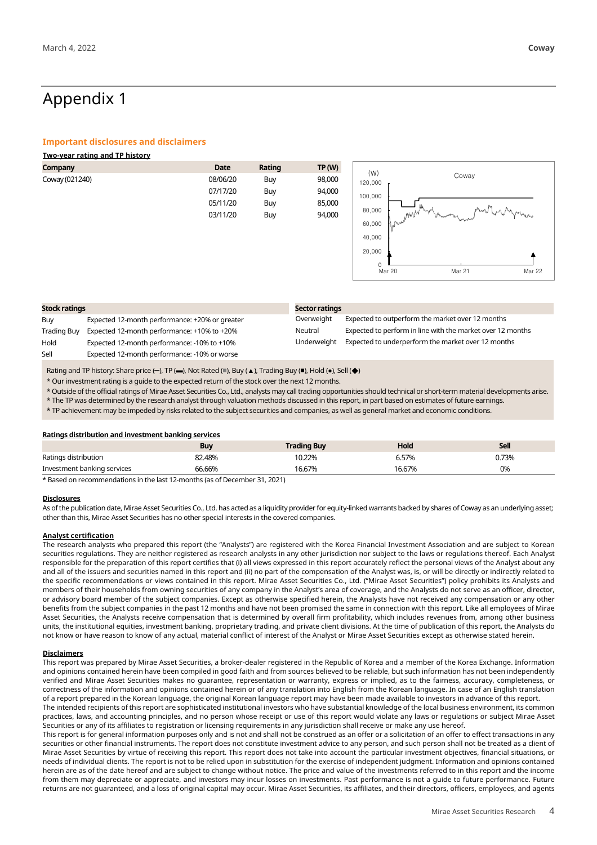# Appendix 1

### **Important disclosures and disclaimers**

| <b>Two-year rating and TP history</b> |          |        |               |                                                            |  |
|---------------------------------------|----------|--------|---------------|------------------------------------------------------------|--|
| Company                               | Date     | Rating | <b>TP (W)</b> |                                                            |  |
| Coway (021240)                        | 08/06/20 | Buy    | 98,000        | (W)<br>Coway<br>120,000                                    |  |
|                                       | 07/17/20 | Buy    | 94,000        | 100,000                                                    |  |
|                                       | 05/11/20 | Buy    | 85,000        |                                                            |  |
|                                       | 03/11/20 | Buy    | 94,000        | philosophy of the philosophie<br>80,000<br>.MWW<br>تعبمهما |  |
|                                       |          |        |               | 60,000<br>Punt                                             |  |
|                                       |          |        |               | 40,000                                                     |  |
|                                       |          |        |               | 20,000                                                     |  |

 $\frac{1}{\frac{0}{20}}$ 

Mar 20 Mar 21 Mar 22

| <b>Stock ratings</b> |                                                | Sector ratings |                                                            |  |
|----------------------|------------------------------------------------|----------------|------------------------------------------------------------|--|
| Buy                  | Expected 12-month performance: +20% or greater | Overweight     | Expected to outperform the market over 12 months           |  |
| Trading Buy          | Expected 12-month performance: +10% to +20%    | Neutral        | Expected to perform in line with the market over 12 months |  |
| Hold                 | Expected 12-month performance: -10% to +10%    | Underweight    | Expected to underperform the market over 12 months         |  |
| Sell                 | Expected 12-month performance: -10% or worse   |                |                                                            |  |

Rating and TP history: Share price (-), TP (-), Not Rated (=), Buy (▲), Trading Buy (■), Hold (●), Sell (◆)

\* Our investment rating is a guide to the expected return of the stock over the next 12 months.

\* Outside of the official ratings of Mirae Asset Securities Co., Ltd., analysts may call trading opportunities should technical or short-term material developments arise.

\* The TP was determined by the research analyst through valuation methods discussed in this report, in part based on estimates of future earnings.

\* TP achievement may be impeded by risks related to the subject securities and companies, as well as general market and economic conditions.

### **Ratings distribution and investment banking services**

|                             | <b>Buy</b> | <b>Trading Buy</b> | Hold   | <b>Sell</b> |
|-----------------------------|------------|--------------------|--------|-------------|
| Ratings distribution        | 82.48%     | 10.22%             | 6.57%  | 0.73%       |
| Investment banking services | 66.66%     | 16.67%             | 16.67% | 0%          |

\* Based on recommendations in the last 12-months (as of December 31, 2021)

### **Disclosures**

As of the publication date, Mirae Asset Securities Co., Ltd. has acted as a liquidity provider for equity-linked warrants backed by shares of Coway as an underlying asset; other than this, Mirae Asset Securities has no other special interests in the covered companies.

### **Analyst certification**

The research analysts who prepared this report (the "Analysts") are registered with the Korea Financial Investment Association and are subject to Korean securities regulations. They are neither registered as research analysts in any other jurisdiction nor subject to the laws or regulations thereof. Each Analyst responsible for the preparation of this report certifies that (i) all views expressed in this report accurately reflect the personal views of the Analyst about any and all of the issuers and securities named in this report and (ii) no part of the compensation of the Analyst was, is, or will be directly or indirectly related to the specific recommendations or views contained in this report. Mirae Asset Securities Co., Ltd. ("Mirae Asset Securities") policy prohibits its Analysts and members of their households from owning securities of any company in the Analyst's area of coverage, and the Analysts do not serve as an officer, director, or advisory board member of the subject companies. Except as otherwise specified herein, the Analysts have not received any compensation or any other benefits from the subject companies in the past 12 months and have not been promised the same in connection with this report. Like all employees of Mirae Asset Securities, the Analysts receive compensation that is determined by overall firm profitability, which includes revenues from, among other business units, the institutional equities, investment banking, proprietary trading, and private client divisions. At the time of publication of this report, the Analysts do not know or have reason to know of any actual, material conflict of interest of the Analyst or Mirae Asset Securities except as otherwise stated herein.

### **Disclaimers**

This report was prepared by Mirae Asset Securities, a broker-dealer registered in the Republic of Korea and a member of the Korea Exchange. Information and opinions contained herein have been compiled in good faith and from sources believed to be reliable, but such information has not been independently verified and Mirae Asset Securities makes no guarantee, representation or warranty, express or implied, as to the fairness, accuracy, completeness, or correctness of the information and opinions contained herein or of any translation into English from the Korean language. In case of an English translation of a report prepared in the Korean language, the original Korean language report may have been made available to investors in advance of this report.

The intended recipients of this report are sophisticated institutional investors who have substantial knowledge of the local business environment, its common practices, laws, and accounting principles, and no person whose receipt or use of this report would violate any laws or regulations or subject Mirae Asset Securities or any of its affiliates to registration or licensing requirements in any jurisdiction shall receive or make any use hereof.

This report is for general information purposes only and is not and shall not be construed as an offer or a solicitation of an offer to effect transactions in any securities or other financial instruments. The report does not constitute investment advice to any person, and such person shall not be treated as a client of Mirae Asset Securities by virtue of receiving this report. This report does not take into account the particular investment objectives, financial situations, or needs of individual clients. The report is not to be relied upon in substitution for the exercise of independent judgment. Information and opinions contained herein are as of the date hereof and are subject to change without notice. The price and value of the investments referred to in this report and the income from them may depreciate or appreciate, and investors may incur losses on investments. Past performance is not a guide to future performance. Future returns are not guaranteed, and a loss of original capital may occur. Mirae Asset Securities, its affiliates, and their directors, officers, employees, and agents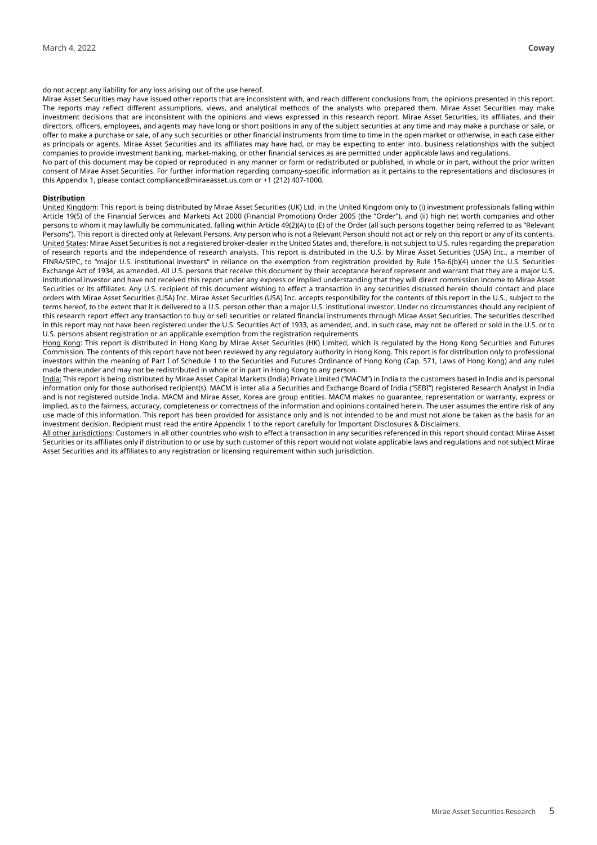### do not accept any liability for any loss arising out of the use hereof.

Mirae Asset Securities may have issued other reports that are inconsistent with, and reach different conclusions from, the opinions presented in this report. The reports may reflect different assumptions, views, and analytical methods of the analysts who prepared them. Mirae Asset Securities may make investment decisions that are inconsistent with the opinions and views expressed in this research report. Mirae Asset Securities, its affiliates, and their directors, officers, employees, and agents may have long or short positions in any of the subject securities at any time and may make a purchase or sale, or offer to make a purchase or sale, of any such securities or other financial instruments from time to time in the open market or otherwise, in each case either as principals or agents. Mirae Asset Securities and its affiliates may have had, or may be expecting to enter into, business relationships with the subject companies to provide investment banking, market-making, or other financial services as are permitted under applicable laws and regulations.

No part of this document may be copied or reproduced in any manner or form or redistributed or published, in whole or in part, without the prior written consent of Mirae Asset Securities. For further information regarding company-specific information as it pertains to the representations and disclosures in this Appendix 1, please contact compliance@miraeasset.us.com or +1 (212) 407-1000.

### **Distribution**

United Kingdom: This report is being distributed by Mirae Asset Securities (UK) Ltd. in the United Kingdom only to (i) investment professionals falling within Article 19(5) of the Financial Services and Markets Act 2000 (Financial Promotion) Order 2005 (the "Order"), and (ii) high net worth companies and other persons to whom it may lawfully be communicated, falling within Article 49(2)(A) to (E) of the Order (all such persons together being referred to as "Relevant Persons"). This report is directed only at Relevant Persons. Any person who is not a Relevant Person should not act or rely on this report or any of its contents. United States: Mirae Asset Securities is not a registered broker-dealer in the United States and, therefore, is not subject to U.S. rules regarding the preparation of research reports and the independence of research analysts. This report is distributed in the U.S. by Mirae Asset Securities (USA) Inc., a member of FINRA/SIPC, to "major U.S. institutional investors" in reliance on the exemption from registration provided by Rule 15a-6(b)(4) under the U.S. Securities Exchange Act of 1934, as amended. All U.S. persons that receive this document by their acceptance hereof represent and warrant that they are a major U.S. institutional investor and have not received this report under any express or implied understanding that they will direct commission income to Mirae Asset Securities or its affiliates. Any U.S. recipient of this document wishing to effect a transaction in any securities discussed herein should contact and place orders with Mirae Asset Securities (USA) Inc. Mirae Asset Securities (USA) Inc. accepts responsibility for the contents of this report in the U.S., subject to the terms hereof, to the extent that it is delivered to a U.S. person other than a major U.S. institutional investor. Under no circumstances should any recipient of this research report effect any transaction to buy or sell securities or related financial instruments through Mirae Asset Securities. The securities described in this report may not have been registered under the U.S. Securities Act of 1933, as amended, and, in such case, may not be offered or sold in the U.S. or to U.S. persons absent registration or an applicable exemption from the registration requirements.

Hong Kong: This report is distributed in Hong Kong by Mirae Asset Securities (HK) Limited, which is regulated by the Hong Kong Securities and Futures Commission. The contents of this report have not been reviewed by any regulatory authority in Hong Kong. This report is for distribution only to professional investors within the meaning of Part I of Schedule 1 to the Securities and Futures Ordinance of Hong Kong (Cap. 571, Laws of Hong Kong) and any rules made thereunder and may not be redistributed in whole or in part in Hong Kong to any person.

India: This report is being distributed by Mirae Asset Capital Markets (India) Private Limited ("MACM") in India to the customers based in India and is personal information only for those authorised recipient(s). MACM is inter alia a Securities and Exchange Board of India ("SEBI") registered Research Analyst in India and is not registered outside India. MACM and Mirae Asset, Korea are group entities. MACM makes no guarantee, representation or warranty, express or implied, as to the fairness, accuracy, completeness or correctness of the information and opinions contained herein. The user assumes the entire risk of any use made of this information. This report has been provided for assistance only and is not intended to be and must not alone be taken as the basis for an investment decision. Recipient must read the entire Appendix 1 to the report carefully for Important Disclosures & Disclaimers.

All other jurisdictions: Customers in all other countries who wish to effect a transaction in any securities referenced in this report should contact Mirae Asset Securities or its affiliates only if distribution to or use by such customer of this report would not violate applicable laws and regulations and not subject Mirae Asset Securities and its affiliates to any registration or licensing requirement within such jurisdiction.